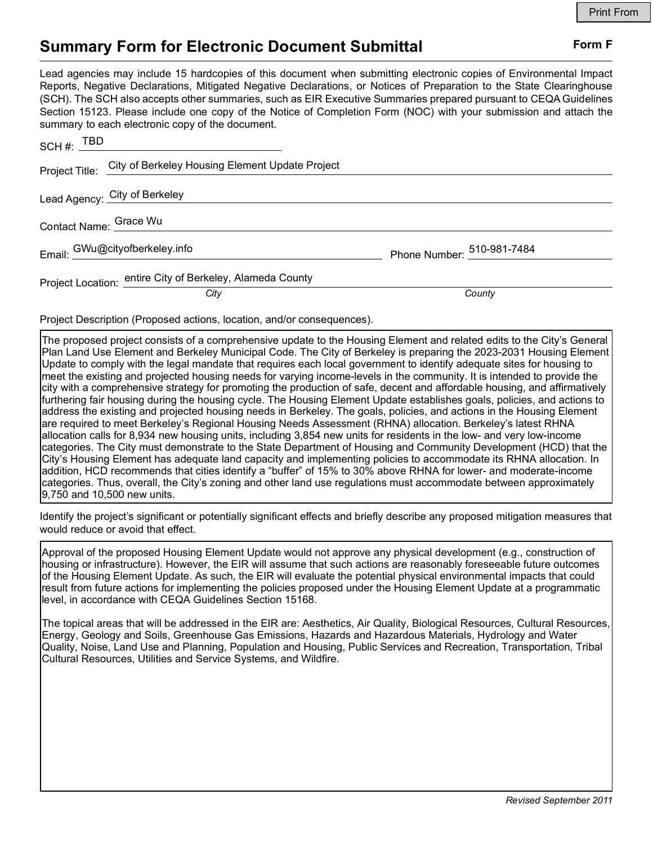## Summary Form for Electronic Document Submittal Form F

|                                                                                                                                                                                                                                                                                                                                                                                                                                                                                                                                           | <b>Print From</b>          |
|-------------------------------------------------------------------------------------------------------------------------------------------------------------------------------------------------------------------------------------------------------------------------------------------------------------------------------------------------------------------------------------------------------------------------------------------------------------------------------------------------------------------------------------------|----------------------------|
| <b>Summary Form for Electronic Document Submittal</b>                                                                                                                                                                                                                                                                                                                                                                                                                                                                                     | Form F                     |
| Lead agencies may include 15 hardcopies of this document when submitting electronic copies of Environmental Impact<br>Reports, Negative Declarations, Mitigated Negative Declarations, or Notices of Preparation to the State Clearinghouse<br>(SCH). The SCH also accepts other summaries, such as EIR Executive Summaries prepared pursuant to CEQA Guidelines<br>Section 15123. Please include one copy of the Notice of Completion Form (NOC) with your submission and attach the<br>summary to each electronic copy of the document. |                            |
| SCH#: $IDD$                                                                                                                                                                                                                                                                                                                                                                                                                                                                                                                               |                            |
| City of Berkeley Housing Element Update Project<br>Project Title:                                                                                                                                                                                                                                                                                                                                                                                                                                                                         |                            |
| Lead Agency: City of Berkeley                                                                                                                                                                                                                                                                                                                                                                                                                                                                                                             |                            |
| Contact Name: Grace Wu                                                                                                                                                                                                                                                                                                                                                                                                                                                                                                                    |                            |
| Email: GWu@cityofberkeley.info                                                                                                                                                                                                                                                                                                                                                                                                                                                                                                            | Phone Number: 510-981-7484 |
| Project Location: entire City of Berkeley, Alameda County                                                                                                                                                                                                                                                                                                                                                                                                                                                                                 |                            |
| City                                                                                                                                                                                                                                                                                                                                                                                                                                                                                                                                      | County                     |
| Project Description (Proposed actions, location, and/or consequences).                                                                                                                                                                                                                                                                                                                                                                                                                                                                    |                            |

The proposed project consists of a comprehensive update to the Housing Element and related edits to the City's General Plan Land Use Element and Berkeley Municipal Code. The City of Berkeley is preparing the 2023-2031 Housing Element Update to comply with the legal mandate that requires each local government to identify adequate sites for housing to meet the existing and projected housing needs for varying income-levels in the community. It is intended to provide the city with a comprehensive strategy for promoting the production of safe, decent and affordable housing, and affirmatively furthering fair housing during the housing cycle. The Housing Element Update establishes goals, policies, and actions to address the existing and projected housing needs in Berkeley. The goals, policies, and actions in the Housing Element are required to meet Berkeley's Regional Housing Needs Assessment (RHNA) allocation. Berkeley's latest RHNA allocation calls for 8,934 new housing units, including 3,854 new units for residents in the low- and very low-income categories. The City must demonstrate to the State Department of Housing and Community Development (HCD) that the City's Housing Element has adequate land capacity and implementing policies to accommodate its RHNA allocation. In addition, HCD recommends that cities identify a "buffer" of 15% to 30% above RHNA for lower- and moderate-income categories. Thus, overall, the City's zoning and other land use regulations must accommodate between approximately 9,750 and 10,500 new units.

Identify the project's significant or potentially significant effects and briefly describe any proposed mitigation measures that would reduce or avoid that effect.

Approval of the proposed Housing Element Update would not approve any physical development (e.g., construction of housing or infrastructure). However, the EIR will assume that such actions are reasonably foreseeable future outcomes of the Housing Element Update. As such, the EIR will evaluate the potential physical environmental impacts that could result from future actions for implementing the policies proposed under the Housing Element Update at a programmatic level, in accordance with CEQA Guidelines Section 15168.

The topical areas that will be addressed in the EIR are: Aesthetics, Air Quality, Biological Resources, Cultural Resources, Energy, Geology and Soils, Greenhouse Gas Emissions, Hazards and Hazardous Materials, Hydrology and Water Quality, Noise, Land Use and Planning, Population and Housing, Public Services and Recreation, Transportation, Tribal Cultural Resources, Utilities and Service Systems, and Wildfire.